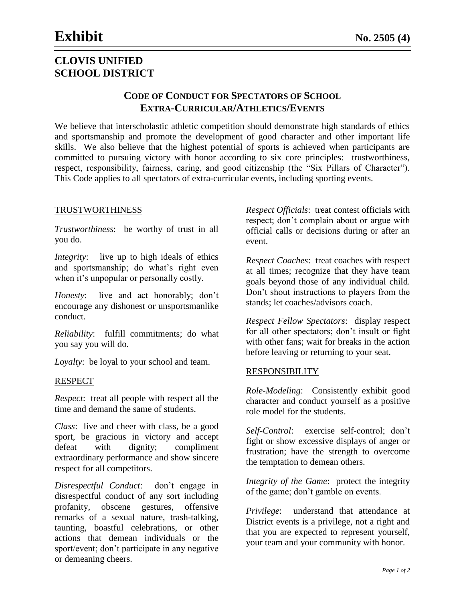# **CLOVIS UNIFIED SCHOOL DISTRICT**

## **CODE OF CONDUCT FOR SPECTATORS OF SCHOOL EXTRA-CURRICULAR/ATHLETICS/EVENTS**

We believe that interscholastic athletic competition should demonstrate high standards of ethics and sportsmanship and promote the development of good character and other important life skills. We also believe that the highest potential of sports is achieved when participants are committed to pursuing victory with honor according to six core principles: trustworthiness, respect, responsibility, fairness, caring, and good citizenship (the "Six Pillars of Character"). This Code applies to all spectators of extra-curricular events, including sporting events.

#### TRUSTWORTHINESS

*Trustworthiness*: be worthy of trust in all you do.

*Integrity*: live up to high ideals of ethics and sportsmanship; do what's right even when it's unpopular or personally costly.

*Honesty*: live and act honorably; don't encourage any dishonest or unsportsmanlike conduct.

*Reliability*: fulfill commitments; do what you say you will do.

*Loyalty*: be loyal to your school and team.

#### RESPECT

*Respect*: treat all people with respect all the time and demand the same of students.

*Class*: live and cheer with class, be a good sport, be gracious in victory and accept defeat with dignity; compliment extraordinary performance and show sincere respect for all competitors.

*Disrespectful Conduct*: don't engage in disrespectful conduct of any sort including profanity, obscene gestures, offensive remarks of a sexual nature, trash-talking, taunting, boastful celebrations, or other actions that demean individuals or the sport/event; don't participate in any negative or demeaning cheers.

*Respect Officials*: treat contest officials with respect; don't complain about or argue with official calls or decisions during or after an event.

*Respect Coaches*: treat coaches with respect at all times; recognize that they have team goals beyond those of any individual child. Don't shout instructions to players from the stands; let coaches/advisors coach.

*Respect Fellow Spectators*: display respect for all other spectators; don't insult or fight with other fans; wait for breaks in the action before leaving or returning to your seat.

## RESPONSIBILITY

*Role-Modeling*: Consistently exhibit good character and conduct yourself as a positive role model for the students.

*Self-Control*: exercise self-control; don't fight or show excessive displays of anger or frustration; have the strength to overcome the temptation to demean others.

*Integrity of the Game*: protect the integrity of the game; don't gamble on events.

*Privilege*: understand that attendance at District events is a privilege, not a right and that you are expected to represent yourself, your team and your community with honor.